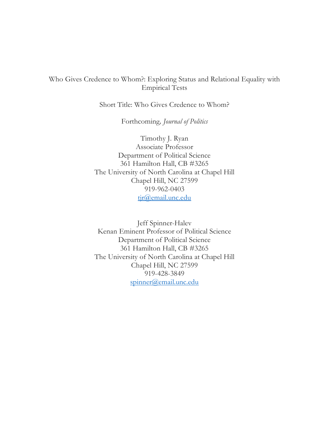# Who Gives Credence to Whom?: Exploring Status and Relational Equality with Empirical Tests

Short Title: Who Gives Credence to Whom?

Forthcoming*, Journal of Politics*

Timothy J. Ryan Associate Professor Department of Political Science 361 Hamilton Hall, CB #3265 The University of North Carolina at Chapel Hill Chapel Hill, NC 27599 919-962-0403 tjr@email.unc.edu

Jeff Spinner-Halev Kenan Eminent Professor of Political Science Department of Political Science 361 Hamilton Hall, CB #3265 The University of North Carolina at Chapel Hill Chapel Hill, NC 27599 919-428-3849 spinner@email.unc.edu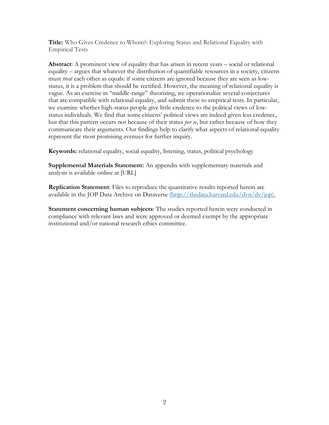**Title:** Who Gives Credence to Whom?: Exploring Status and Relational Equality with Empirical Tests

**Abstract**: A prominent view of equality that has arisen in recent years – social or relational equality – argues that whatever the distribution of quantifiable resources in a society, citizens must *treat* each other as equals: if some citizens are ignored because they are seen as lowstatus, it is a problem that should be rectified. However, the meaning of relational equality is vague. As an exercise in "middle-range" theorizing, we operationalize several conjectures that are compatible with relational equality, and submit these to empirical tests. In particular, we examine whether high-status people give little credence to the political views of lowstatus individuals. We find that some citizens' political views are indeed given less credence, but that this pattern occurs not because of their status *per se*, but rather because of how they communicate their arguments. Our findings help to clarify what aspects of relational equality represent the most promising avenues for further inquiry.

**Keywords:** relational equality, social equality, listening, status, political psychology

**Supplemental Materials Statement:** An appendix with supplementary materials and analysis is available online at [URL]

**Replication Statement**: Files to reproduce the quantitative results reported herein are available in the JOP Data Archive on Dataverse (http://thedata.harvard.edu/dvn/dv/jop).

**Statement concerning human subjects**: The studies reported herein were conducted in compliance with relevant laws and were approved or deemed exempt by the appropriate institutional and/or national research ethics committee.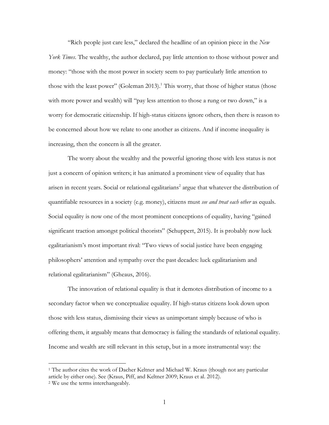"Rich people just care less," declared the headline of an opinion piece in the *New York Times*. The wealthy, the author declared, pay little attention to those without power and money: "those with the most power in society seem to pay particularly little attention to those with the least power" (Goleman 2013).<sup>1</sup> This worry, that those of higher status (those with more power and wealth) will "pay less attention to those a rung or two down," is a worry for democratic citizenship. If high-status citizens ignore others, then there is reason to be concerned about how we relate to one another as citizens. And if income inequality is increasing, then the concern is all the greater.

The worry about the wealthy and the powerful ignoring those with less status is not just a concern of opinion writers; it has animated a prominent view of equality that has arisen in recent years. Social or relational egalitarians<sup>2</sup> argue that whatever the distribution of quantifiable resources in a society (e.g. money), citizens must *see and treat each other* as equals. Social equality is now one of the most prominent conceptions of equality, having "gained significant traction amongst political theorists" (Schuppert, 2015). It is probably now luck egalitarianism's most important rival: "Two views of social justice have been engaging philosophers' attention and sympathy over the past decades: luck egalitarianism and relational egalitarianism" (Gheaus, 2016).

The innovation of relational equality is that it demotes distribution of income to a secondary factor when we conceptualize equality. If high-status citizens look down upon those with less status, dismissing their views as unimportant simply because of who is offering them, it arguably means that democracy is failing the standards of relational equality. Income and wealth are still relevant in this setup, but in a more instrumental way: the

<sup>&</sup>lt;sup>1</sup> The author cites the work of Dacher Keltner and Michael W. Kraus (though not any particular article by either one). See (Kraus, Piff, and Keltner 2009; Kraus et al. 2012).

<sup>2</sup> We use the terms interchangeably.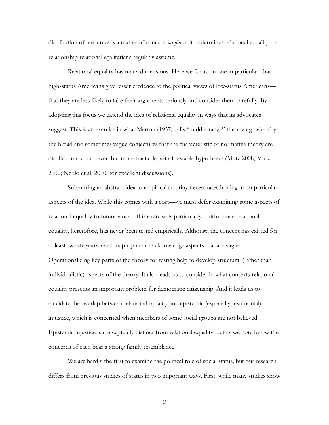distribution of resources is a matter of concern *insofar as* it undermines relational equality—a relationship relational egalitarians regularly assume.

Relational equality has many dimensions. Here we focus on one in particular: that high-status Americans give lesser credence to the political views of low-status Americans that they are less likely to take their arguments seriously and consider them carefully. By adopting this focus we extend the idea of relational equality in ways that its advocates suggest. This is an exercise in what Merton (1957) calls "middle-range" theorizing, whereby the broad and sometimes vague conjectures that are characteristic of normative theory are distilled into a narrower, but more tractable, set of testable hypotheses (Mutz 2008; Mutz 2002; Neblo et al. 2010, for excellent discussions).

Submitting an abstract idea to empirical scrutiny necessitates honing in on particular aspects of the idea. While this comes with a cost—we must defer examining some aspects of relational equality to future work—this exercise is particularly fruitful since relational equality, heretofore, has never been tested empirically. Although the concept has existed for at least twenty years, even its proponents acknowledge aspects that are vague. Operationalizing key parts of the theory for testing help to develop structural (rather than individualistic) aspects of the theory. It also leads us to consider in what contexts relational equality presents an important problem for democratic citizenship. And it leads us to elucidate the overlap between relational equality and epistemic (especially testimonial) injustice, which is concerned when members of some social groups are not believed. Epistemic injustice is conceptually distinct from relational equality, but as we note below the concerns of each bear a strong family resemblance.

We are hardly the first to examine the political role of social status, but our research differs from previous studies of status in two important ways. First, while many studies show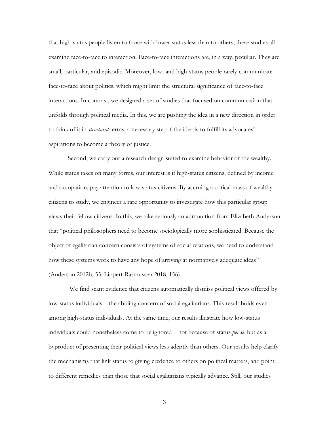that high-status people listen to those with lower status less than to others, these studies all examine face-to-face to interaction. Face-to-face interactions are, in a way, peculiar. They are small, particular, and episodic. Moreover, low- and high-status people rarely communicate face-to-face about politics, which might limit the structural significance of face-to-face interactions. In contrast, we designed a set of studies that focused on communication that unfolds through political media. In this, we are pushing the idea in a new direction in order to think of it in *structural* terms, a necessary step if the idea is to fulfill its advocates' aspirations to become a theory of justice.

Second, we carry out a research design suited to examine behavior of the wealthy. While status takes on many forms, our interest is if high-status citizens, defined by income and occupation, pay attention to low-status citizens. By accruing a critical mass of wealthy citizens to study, we engineer a rare opportunity to investigate how this particular group views their fellow citizens. In this, we take seriously an admonition from Elizabeth Anderson that "political philosophers need to become sociologically more sophisticated. Because the object of egalitarian concern consists of systems of social relations, we need to understand how these systems work to have any hope of arriving at normatively adequate ideas" (Anderson 2012b, 55; Lippert-Rasmussen 2018, 156).

We find scant evidence that citizens automatically dismiss political views offered by low-status individuals—the abiding concern of social egalitarians. This result holds even among high-status individuals. At the same time, our results illustrate how low-status individuals could nonetheless come to be ignored—not because of status *per se*, but as a byproduct of presenting their political views less adeptly than others. Our results help clarify the mechanisms that link status to giving credence to others on political matters, and point to different remedies than those that social egalitarians typically advance. Still, our studies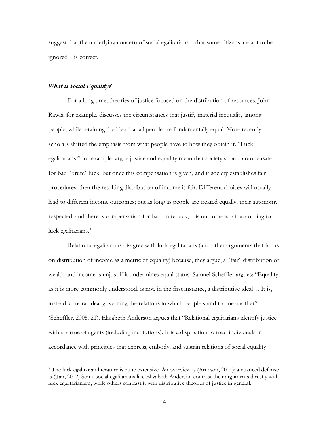suggest that the underlying concern of social egalitarians—that some citizens are apt to be ignored—is correct.

#### *What is Social Equality?*

For a long time, theories of justice focused on the distribution of resources. John Rawls, for example, discusses the circumstances that justify material inequality among people, while retaining the idea that all people are fundamentally equal. More recently, scholars shifted the emphasis from what people have to how they obtain it. "Luck egalitarians," for example, argue justice and equality mean that society should compensate for bad "brute" luck, but once this compensation is given, and if society establishes fair procedures, then the resulting distribution of income is fair. Different choices will usually lead to different income outcomes; but as long as people are treated equally, their autonomy respected, and there is compensation for bad brute luck, this outcome is fair according to luck egalitarians.<sup>3</sup>

Relational egalitarians disagree with luck egalitarians (and other arguments that focus on distribution of income as a metric of equality) because, they argue, a "fair" distribution of wealth and income is unjust if it undermines equal status. Samuel Scheffler argues: "Equality, as it is more commonly understood, is not, in the first instance, a distributive ideal… It is, instead, a moral ideal governing the relations in which people stand to one another" (Scheffler, 2005, 21). Elizabeth Anderson argues that "Relational egalitarians identify justice with a virtue of agents (including institutions). It is a disposition to treat individuals in accordance with principles that express, embody, and sustain relations of social equality

<sup>&</sup>lt;sup>3</sup> The luck egalitarian literature is quite extensive. An overview is (Arneson, 2011); a nuanced defense is (Tan, 2012) Some social egalitarians like Elizabeth Anderson contrast their arguments directly with luck egalitarianism, while others contrast it with distributive theories of justice in general.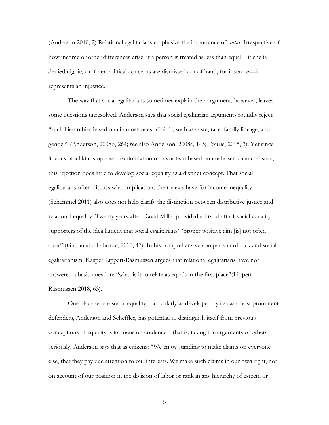(Anderson 2010, 2) Relational egalitarians emphasize the importance of *status*. Irrespective of how income or other differences arise, if a person is treated as less than equal—if she is denied dignity or if her political concerns are dismissed out of hand, for instance—it represents an injustice.

The way that social egalitarians sometimes explain their argument, however, leaves some questions unresolved. Anderson says that social egalitarian arguments roundly reject "such hierarchies based on circumstances of birth, such as caste, race, family lineage, and gender" (Anderson, 2008b, 264; see also Anderson, 2008a, 145; Fourie, 2015, 3). Yet since liberals of all kinds oppose discrimination or favoritism based on unchosen characteristics, this rejection does little to develop social equality as a distinct concept. That social egalitarians often discuss what implications their views have for income inequality (Schemmel 2011) also does not help clarify the distinction between distributive justice and relational equality. Twenty years after David Miller provided a first draft of social equality, supporters of the idea lament that social egalitarians' "proper positive aim [is] not often clear" (Garrau and Laborde, 2015, 47). In his comprehensive comparison of luck and social egalitarianism, Kasper Lippert-Rasmussen argues that relational egalitarians have not answered a basic question: "what is it to relate as equals in the first place"(Lippert-Rasmussen 2018, 63).

One place where social equality, particularly as developed by its two most prominent defenders, Anderson and Scheffler, has potential to distinguish itself from previous conceptions of equality is its focus on credence—that is, taking the arguments of others seriously. Anderson says that as citizens: "We enjoy standing to make claims on everyone else, that they pay due attention to our interests. We make such claims in our own right, not on account of our position in the division of labor or rank in any hierarchy of esteem or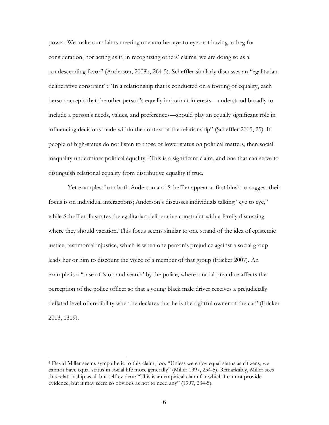power. We make our claims meeting one another eye-to-eye, not having to beg for consideration, nor acting as if, in recognizing others' claims, we are doing so as a condescending favor" (Anderson, 2008b, 264-5). Scheffler similarly discusses an "egalitarian deliberative constraint": "In a relationship that is conducted on a footing of equality, each person accepts that the other person's equally important interests—understood broadly to include a person's needs, values, and preferences—should play an equally significant role in influencing decisions made within the context of the relationship" (Scheffler 2015, 25). If people of high-status do not listen to those of lower status on political matters, then social inequality undermines political equality.4 This is a significant claim, and one that can serve to distinguish relational equality from distributive equality if true.

Yet examples from both Anderson and Scheffler appear at first blush to suggest their focus is on individual interactions; Anderson's discusses individuals talking "eye to eye," while Scheffler illustrates the egalitarian deliberative constraint with a family discussing where they should vacation. This focus seems similar to one strand of the idea of epistemic justice, testimonial injustice, which is when one person's prejudice against a social group leads her or him to discount the voice of a member of that group (Fricker 2007). An example is a "case of 'stop and search' by the police, where a racial prejudice affects the perception of the police officer so that a young black male driver receives a prejudicially deflated level of credibility when he declares that he is the rightful owner of the car" (Fricker 2013, 1319).

<sup>4</sup> David Miller seems sympathetic to this claim, too: "Unless we enjoy equal status as citizens, we cannot have equal status in social life more generally" (Miller 1997, 234-5). Remarkably, Miller sees this relationship as all but self-evident: "This is an empirical claim for which I cannot provide evidence, but it may seem so obvious as not to need any" (1997, 234-5).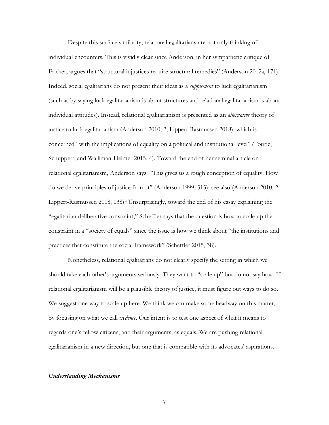Despite this surface similarity, relational egalitarians are not only thinking of individual encounters. This is vividly clear since Anderson, in her sympathetic critique of Fricker, argues that "structural injustices require structural remedies" (Anderson 2012a, 171). Indeed, social egalitarians do not present their ideas as a *supplement* to luck egalitarianism (such as by saying luck egalitarianism is about structures and relational egalitarianism is about individual attitudes). Instead, relational egalitarianism is presented as an *alternative* theory of justice to luck egalitarianism (Anderson 2010, 2; Lippert-Rasmussen 2018), which is concerned "with the implications of equality on a political and institutional level" (Fourie, Schuppert, and Walliman-Helmer 2015, 4). Toward the end of her seminal article on relational egalitarianism, Anderson says: "This gives us a rough conception of equality. How do we derive principles of justice from it" (Anderson 1999, 313); see also (Anderson 2010, 2; Lippert-Rasmussen 2018, 138)? Unsurprisingly, toward the end of his essay explaining the "egalitarian deliberative constraint," Scheffler says that the question is how to scale up the constraint in a "society of equals" since the issue is how we think about "the institutions and practices that constitute the social framework" (Scheffler 2015, 38).

Nonetheless, relational egalitarians do not clearly specify the setting in which we should take each other's arguments seriously. They want to "scale up" but do not say how. If relational egalitarianism will be a plausible theory of justice, it must figure out ways to do so. We suggest one way to scale up here. We think we can make some headway on this matter, by focusing on what we call *credence*. Our intent is to test one aspect of what it means to regards one's fellow citizens, and their arguments, as equals. We are pushing relational egalitarianism in a new direction, but one that is compatible with its advocates' aspirations.

#### *Understanding Mechanisms*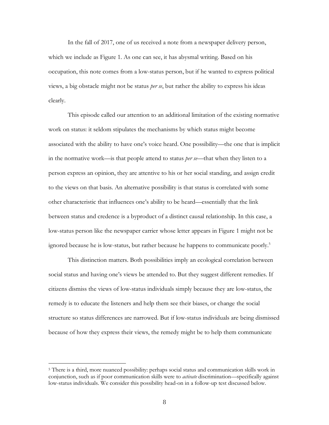In the fall of 2017, one of us received a note from a newspaper delivery person, which we include as Figure 1. As one can see, it has abysmal writing. Based on his occupation, this note comes from a low-status person, but if he wanted to express political views, a big obstacle might not be status *per se*, but rather the ability to express his ideas clearly.

This episode called our attention to an additional limitation of the existing normative work on status: it seldom stipulates the mechanisms by which status might become associated with the ability to have one's voice heard. One possibility—the one that is implicit in the normative work—is that people attend to status *per se*—that when they listen to a person express an opinion, they are attentive to his or her social standing, and assign credit to the views on that basis. An alternative possibility is that status is correlated with some other characteristic that influences one's ability to be heard—essentially that the link between status and credence is a byproduct of a distinct causal relationship. In this case, a low-status person like the newspaper carrier whose letter appears in Figure 1 might not be ignored because he is low-status, but rather because he happens to communicate poorly.<sup>5</sup>

This distinction matters. Both possibilities imply an ecological correlation between social status and having one's views be attended to. But they suggest different remedies. If citizens dismiss the views of low-status individuals simply because they are low-status, the remedy is to educate the listeners and help them see their biases, or change the social structure so status differences are narrowed. But if low-status individuals are being dismissed because of how they express their views, the remedy might be to help them communicate

<sup>5</sup> There is a third, more nuanced possibility: perhaps social status and communication skills work in conjunction, such as if poor communication skills were to *activate* discrimination—specifically against low-status individuals. We consider this possibility head-on in a follow-up test discussed below.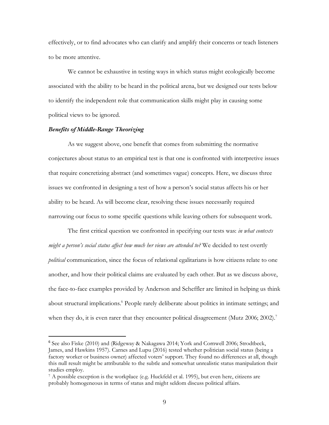effectively, or to find advocates who can clarify and amplify their concerns or teach listeners to be more attentive.

We cannot be exhaustive in testing ways in which status might ecologically become associated with the ability to be heard in the political arena, but we designed our tests below to identify the independent role that communication skills might play in causing some political views to be ignored.

### *Benefits of Middle-Range Theorizing*

As we suggest above, one benefit that comes from submitting the normative conjectures about status to an empirical test is that one is confronted with interpretive issues that require concretizing abstract (and sometimes vague) concepts. Here, we discuss three issues we confronted in designing a test of how a person's social status affects his or her ability to be heard. As will become clear, resolving these issues necessarily required narrowing our focus to some specific questions while leaving others for subsequent work.

The first critical question we confronted in specifying our tests was: *in what contexts might a person's social status affect how much her views are attended to?* We decided to test overtly *political* communication, since the focus of relational egalitarians is how citizens relate to one another, and how their political claims are evaluated by each other. But as we discuss above, the face-to-face examples provided by Anderson and Scheffler are limited in helping us think about structural implications.<sup>6</sup> People rarely deliberate about politics in intimate settings; and when they do, it is even rarer that they encounter political disagreement (Mutz  $2006; 2002$ ).<sup>7</sup>

 <sup>6</sup> See also Fiske (2010) and (Ridgeway & Nakagawa 2014; York and Cornwell 2006; Strodtbeck, James, and Hawkins 1957). Carnes and Lupu (2016) tested whether politician social status (being a factory worker or business owner) affected voters' support. They found no differences at all, though this null result might be attributable to the subtle and somewhat unrealistic status manipulation their studies employ.

<sup>7</sup> A possible exception is the workplace (e.g. Huckfeld et al. 1995), but even here, citizens are probably homogeneous in terms of status and might seldom discuss political affairs.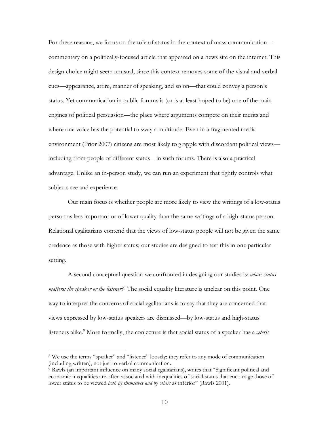For these reasons, we focus on the role of status in the context of mass communication commentary on a politically-focused article that appeared on a news site on the internet. This design choice might seem unusual, since this context removes some of the visual and verbal cues—appearance, attire, manner of speaking, and so on—that could convey a person's status. Yet communication in public forums is (or is at least hoped to be) one of the main engines of political persuasion—the place where arguments compete on their merits and where one voice has the potential to sway a multitude. Even in a fragmented media environment (Prior 2007) citizens are most likely to grapple with discordant political views including from people of different status—in such forums. There is also a practical advantage. Unlike an in-person study, we can run an experiment that tightly controls what subjects see and experience.

Our main focus is whether people are more likely to view the writings of a low-status person as less important or of lower quality than the same writings of a high-status person. Relational egalitarians contend that the views of low-status people will not be given the same credence as those with higher status; our studies are designed to test this in one particular setting.

A second conceptual question we confronted in designing our studies is: *whose status matters: the speaker or the listener?*<sup>8</sup> The social equality literature is unclear on this point. One way to interpret the concerns of social egalitarians is to say that they are concerned that views expressed by low-status speakers are dismissed—by low-status and high-status listeners alike.<sup>9</sup> More formally, the conjecture is that social status of a speaker has a *ceteris* 

<sup>8</sup> We use the terms "speaker" and "listener" loosely: they refer to any mode of communication (including written), not just to verbal communication.

<sup>9</sup> Rawls (an important influence on many social egalitarians), writes that "Significant political and economic inequalities are often associated with inequalities of social status that encourage those of lower status to be viewed *both by themselves and by others* as inferior" (Rawls 2001).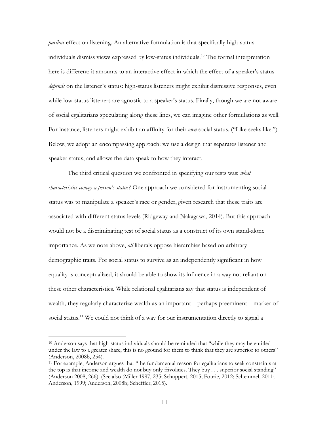*paribus* effect on listening. An alternative formulation is that specifically high-status individuals dismiss views expressed by low-status individuals.10 The formal interpretation here is different: it amounts to an interactive effect in which the effect of a speaker's status *depends* on the listener's status: high-status listeners might exhibit dismissive responses, even while low-status listeners are agnostic to a speaker's status. Finally, though we are not aware of social egalitarians speculating along these lines, we can imagine other formulations as well. For instance, listeners might exhibit an affinity for their *own* social status. ("Like seeks like.") Below, we adopt an encompassing approach: we use a design that separates listener and speaker status, and allows the data speak to how they interact.

The third critical question we confronted in specifying our tests was: *what characteristics convey a person's status?* One approach we considered for instrumenting social status was to manipulate a speaker's race or gender, given research that these traits are associated with different status levels (Ridgeway and Nakagawa, 2014). But this approach would not be a discriminating test of social status as a construct of its own stand-alone importance. As we note above, *all* liberals oppose hierarchies based on arbitrary demographic traits. For social status to survive as an independently significant in how equality is conceptualized, it should be able to show its influence in a way not reliant on these other characteristics. While relational egalitarians say that status is independent of wealth, they regularly characterize wealth as an important—perhaps preeminent—marker of social status.<sup>11</sup> We could not think of a way for our instrumentation directly to signal a

<sup>10</sup> Anderson says that high-status individuals should be reminded that "while they may be entitled under the law to a greater share, this is no ground for them to think that they are superior to others" (Anderson, 2008b, 254).

<sup>11</sup> For example, Anderson argues that "the fundamental reason for egalitarians to seek constraints at the top is that income and wealth do not buy only frivolities. They buy . . . superior social standing" (Anderson 2008, 266). (See also (Miller 1997, 235; Schuppert, 2015; Fourie, 2012; Schemmel, 2011; Anderson, 1999; Anderson, 2008b; Scheffler, 2015).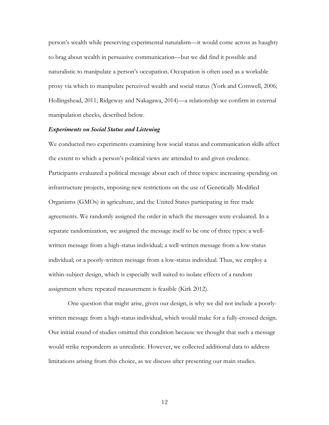person's wealth while preserving experimental naturalism—it would come across as haughty to brag about wealth in persuasive communication—but we did find it possible and naturalistic to manipulate a person's occupation. Occupation is often used as a workable proxy via which to manipulate perceived wealth and social status (York and Cornwell, 2006; Hollingshead, 2011; Ridgeway and Nakagawa, 2014)—a relationship we confirm in external manipulation checks, described below.

## *Experiments on Social Status and Listening*

We conducted two experiments examining how social status and communication skills affect the extent to which a person's political views are attended to and given credence. Participants evaluated a political message about each of three topics: increasing spending on infrastructure projects, imposing new restrictions on the use of Genetically Modified Organisms (GMOs) in agriculture, and the United States participating in free trade agreements. We randomly assigned the order in which the messages were evaluated. In a separate randomization, we assigned the message itself to be one of three types: a wellwritten message from a high-status individual; a well-written message from a low-status individual; or a poorly-written message from a low-status individual. Thus, we employ a within-subject design, which is especially well suited to isolate effects of a random assignment where repeated measurement is feasible (Kirk 2012).

One question that might arise, given our design, is why we did not include a poorlywritten message from a high-status individual, which would make for a fully-crossed design. Our initial round of studies omitted this condition because we thought that such a message would strike respondents as unrealistic. However, we collected additional data to address limitations arising from this choice, as we discuss after presenting our main studies.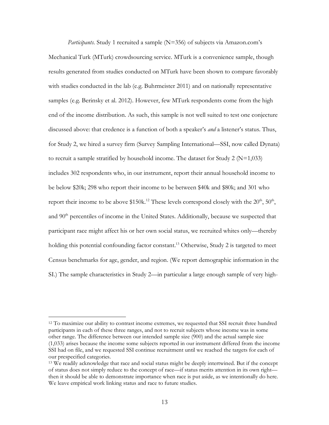*Participants.* Study 1 recruited a sample (N=356) of subjects via Amazon.com's Mechanical Turk (MTurk) crowdsourcing service. MTurk is a convenience sample, though results generated from studies conducted on MTurk have been shown to compare favorably with studies conducted in the lab (e.g. Buhrmeister 2011) and on nationally representative samples (e.g. Berinsky et al. 2012). However, few MTurk respondents come from the high end of the income distribution. As such, this sample is not well suited to test one conjecture discussed above: that credence is a function of both a speaker's *and* a listener's status. Thus, for Study 2, we hired a survey firm (Survey Sampling International—SSI, now called Dynata) to recruit a sample stratified by household income. The dataset for Study 2 ( $N=1,033$ ) includes 302 respondents who, in our instrument, report their annual household income to be below \$20k; 298 who report their income to be between \$40k and \$80k; and 301 who report their income to be above  $$150k<sup>12</sup>$  These levels correspond closely with the  $20<sup>th</sup>$ ,  $50<sup>th</sup>$ , and 90<sup>th</sup> percentiles of income in the United States. Additionally, because we suspected that participant race might affect his or her own social status, we recruited whites only—thereby holding this potential confounding factor constant.<sup>13</sup> Otherwise, Study 2 is targeted to meet Census benchmarks for age, gender, and region. (We report demographic information in the SI.) The sample characteristics in Study 2—in particular a large enough sample of very high-

<sup>12</sup> To maximize our ability to contrast income extremes, we requested that SSI recruit three hundred participants in each of these three ranges, and not to recruit subjects whose income was in some other range. The difference between our intended sample size (900) and the actual sample size (1,033) arises because the income some subjects reported in our instrument differed from the income SSI had on file, and we requested SSI continue recruitment until we reached the targets for each of our prespecified categories.

<sup>&</sup>lt;sup>13</sup> We readily acknowledge that race and social status might be deeply intertwined. But if the concept of status does not simply reduce to the concept of race—if status merits attention in its own right then it should be able to demonstrate importance when race is put aside, as we intentionally do here. We leave empirical work linking status and race to future studies.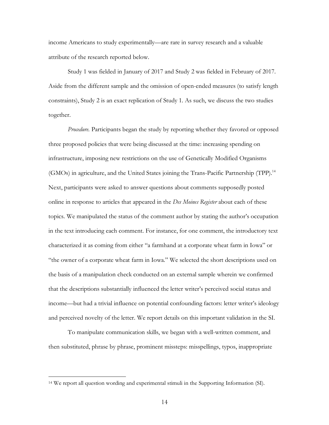income Americans to study experimentally—are rare in survey research and a valuable attribute of the research reported below.

Study 1 was fielded in January of 2017 and Study 2 was fielded in February of 2017. Aside from the different sample and the omission of open-ended measures (to satisfy length constraints), Study 2 is an exact replication of Study 1. As such, we discuss the two studies together.

*Procedure.* Participants began the study by reporting whether they favored or opposed three proposed policies that were being discussed at the time: increasing spending on infrastructure, imposing new restrictions on the use of Genetically Modified Organisms (GMOs) in agriculture, and the United States joining the Trans-Pacific Partnership (TPP).14 Next, participants were asked to answer questions about comments supposedly posted online in response to articles that appeared in the *Des Moines Register* about each of these topics. We manipulated the status of the comment author by stating the author's occupation in the text introducing each comment. For instance, for one comment, the introductory text characterized it as coming from either "a farmhand at a corporate wheat farm in Iowa" or "the owner of a corporate wheat farm in Iowa." We selected the short descriptions used on the basis of a manipulation check conducted on an external sample wherein we confirmed that the descriptions substantially influenced the letter writer's perceived social status and income—but had a trivial influence on potential confounding factors: letter writer's ideology and perceived novelty of the letter. We report details on this important validation in the SI.

To manipulate communication skills, we began with a well-written comment, and then substituted, phrase by phrase, prominent missteps: misspellings, typos, inappropriate

<sup>14</sup> We report all question wording and experimental stimuli in the Supporting Information (SI).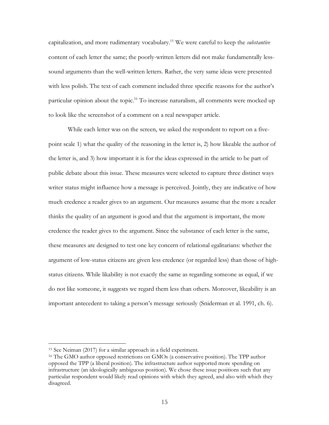capitalization, and more rudimentary vocabulary.15 We were careful to keep the *substantive* content of each letter the same; the poorly-written letters did not make fundamentally lesssound arguments than the well-written letters. Rather, the very same ideas were presented with less polish. The text of each comment included three specific reasons for the author's particular opinion about the topic.16 To increase naturalism, all comments were mocked up to look like the screenshot of a comment on a real newspaper article.

While each letter was on the screen, we asked the respondent to report on a fivepoint scale 1) what the quality of the reasoning in the letter is, 2) how likeable the author of the letter is, and 3) how important it is for the ideas expressed in the article to be part of public debate about this issue. These measures were selected to capture three distinct ways writer status might influence how a message is perceived. Jointly, they are indicative of how much credence a reader gives to an argument. Our measures assume that the more a reader thinks the quality of an argument is good and that the argument is important, the more credence the reader gives to the argument. Since the substance of each letter is the same, these measures are designed to test one key concern of relational egalitarians: whether the argument of low-status citizens are given less credence (or regarded less) than those of highstatus citizens. While likability is not exactly the same as regarding someone as equal, if we do not like someone, it suggests we regard them less than others. Moreover, likeability is an important antecedent to taking a person's message seriously (Sniderman et al. 1991, ch. 6).

<sup>15</sup> See Neiman (2017) for a similar approach in a field experiment.

<sup>16</sup> The GMO author opposed restrictions on GMOs (a conservative position). The TPP author opposed the TPP (a liberal position). The infrastructure author supported more spending on infrastructure (an ideologically ambiguous position). We chose these issue positions such that any particular respondent would likely read opinions with which they agreed, and also with which they disagreed.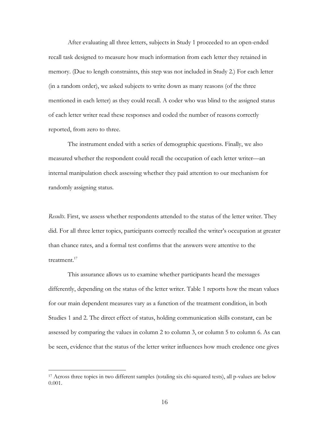After evaluating all three letters, subjects in Study 1 proceeded to an open-ended recall task designed to measure how much information from each letter they retained in memory. (Due to length constraints, this step was not included in Study 2.) For each letter (in a random order), we asked subjects to write down as many reasons (of the three mentioned in each letter) as they could recall. A coder who was blind to the assigned status of each letter writer read these responses and coded the number of reasons correctly reported, from zero to three.

The instrument ended with a series of demographic questions. Finally, we also measured whether the respondent could recall the occupation of each letter writer—an internal manipulation check assessing whether they paid attention to our mechanism for randomly assigning status.

*Results*. First, we assess whether respondents attended to the status of the letter writer. They did. For all three letter topics, participants correctly recalled the writer's occupation at greater than chance rates, and a formal test confirms that the answers were attentive to the treatment.<sup>17</sup>

This assurance allows us to examine whether participants heard the messages differently, depending on the status of the letter writer. Table 1 reports how the mean values for our main dependent measures vary as a function of the treatment condition, in both Studies 1 and 2. The direct effect of status, holding communication skills constant, can be assessed by comparing the values in column 2 to column 3, or column 5 to column 6. As can be seen, evidence that the status of the letter writer influences how much credence one gives

<sup>17</sup> Across three topics in two different samples (totaling six chi-squared tests), all p-values are below 0.001.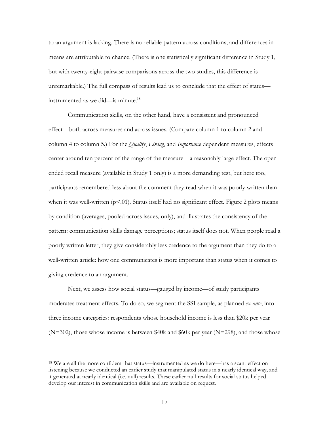to an argument is lacking. There is no reliable pattern across conditions, and differences in means are attributable to chance. (There is one statistically significant difference in Study 1, but with twenty-eight pairwise comparisons across the two studies, this difference is unremarkable.) The full compass of results lead us to conclude that the effect of status instrumented as we did—is minute.18

Communication skills, on the other hand, have a consistent and pronounced effect—both across measures and across issues. (Compare column 1 to column 2 and column 4 to column 5.) For the *Quality*, *Liking*, and *Importance* dependent measures, effects center around ten percent of the range of the measure—a reasonably large effect. The openended recall measure (available in Study 1 only) is a more demanding test, but here too, participants remembered less about the comment they read when it was poorly written than when it was well-written  $(p<0.01)$ . Status itself had no significant effect. Figure 2 plots means by condition (averages, pooled across issues, only), and illustrates the consistency of the pattern: communication skills damage perceptions; status itself does not. When people read a poorly written letter, they give considerably less credence to the argument than they do to a well-written article: how one communicates is more important than status when it comes to giving credence to an argument.

Next, we assess how social status—gauged by income—of study participants moderates treatment effects. To do so, we segment the SSI sample, as planned *ex ante*, into three income categories: respondents whose household income is less than \$20k per year  $(N=302)$ , those whose income is between \$40k and \$60k per year  $(N=298)$ , and those whose

<sup>18</sup> We are all the more confident that status—instrumented as we do here—has a scant effect on listening because we conducted an earlier study that manipulated status in a nearly identical way, and it generated at nearly identical (i.e. null) results. These earlier null results for social status helped develop our interest in communication skills and are available on request.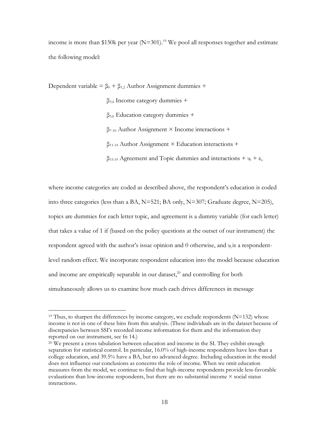income is more than \$150k per year  $(N=301)$ .<sup>19</sup> We pool all responses together and estimate the following model:

Dependent variable =  $\beta_0 + \beta_{1,2}$  Author Assignment dummies +

β3,4 Income category dummies +  $β<sub>5,6</sub> Education category dummies +$ β7-10 Author Assignment × Income interactions +

 $\beta_{11-14}$  Author Assignment  $\times$  Education interactions +

 $β$ <sub>15-19</sub> Agreement and Topic dummies and interactions +  $υ$ <sub>i</sub> + ε,

where income categories are coded as described above, the respondent's education is coded into three categories (less than a BA,  $N=521$ ; BA only,  $N=307$ ; Graduate degree,  $N=205$ ), topics are dummies for each letter topic, and agreement is a dummy variable (for each letter) that takes a value of 1 if (based on the policy questions at the outset of our instrument) the respondent agreed with the author's issue opinion and 0 otherwise, and  $\nu_i$  is a respondentlevel random effect. We incorporate respondent education into the model because education and income are empirically separable in our dataset, $^{20}$  and controlling for both simultaneously allows us to examine how much each drives differences in message

<sup>&</sup>lt;sup>19</sup> Thus, to sharpen the differences by income category, we exclude respondents ( $N=132$ ) whose income is not in one of these bins from this analysis. (These individuals are in the dataset because of discrepancies between SSI's recorded income information for them and the information they reported on our instrument, see fn 14.)

<sup>20</sup> We present a cross tabulation between education and income in the SI. They exhibit enough separation for statistical control. In particular, 16.0% of high-income respondents have less than a college education, and 39.5% have a BA, but no advanced degree. Including education in the model does not influence our conclusions as concerns the role of income. When we omit education measures from the model, we continue to find that high-income respondents provide less-favorable evaluations than low-income respondents, but there are no substantial income  $\times$  social status interactions.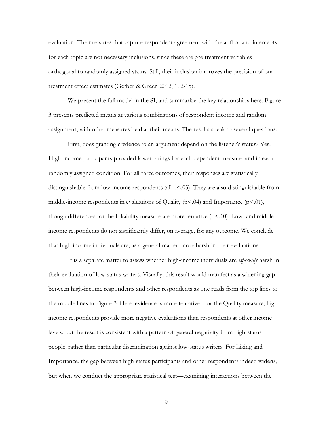evaluation. The measures that capture respondent agreement with the author and intercepts for each topic are not necessary inclusions, since these are pre-treatment variables orthogonal to randomly assigned status. Still, their inclusion improves the precision of our treatment effect estimates (Gerber & Green 2012, 102-15).

We present the full model in the SI, and summarize the key relationships here. Figure 3 presents predicted means at various combinations of respondent income and random assignment, with other measures held at their means. The results speak to several questions.

First, does granting credence to an argument depend on the listener's status? Yes. High-income participants provided lower ratings for each dependent measure, and in each randomly assigned condition. For all three outcomes, their responses are statistically distinguishable from low-income respondents (all  $p$ <.03). They are also distinguishable from middle-income respondents in evaluations of Quality ( $p<04$ ) and Importance ( $p<01$ ), though differences for the Likability measure are more tentative  $(p<10)$ . Low- and middleincome respondents do not significantly differ, on average, for any outcome. We conclude that high-income individuals are, as a general matter, more harsh in their evaluations.

It is a separate matter to assess whether high-income individuals are *especially* harsh in their evaluation of low-status writers. Visually, this result would manifest as a widening gap between high-income respondents and other respondents as one reads from the top lines to the middle lines in Figure 3. Here, evidence is more tentative. For the Quality measure, highincome respondents provide more negative evaluations than respondents at other income levels, but the result is consistent with a pattern of general negativity from high-status people, rather than particular discrimination against low-status writers. For Liking and Importance, the gap between high-status participants and other respondents indeed widens, but when we conduct the appropriate statistical test—examining interactions between the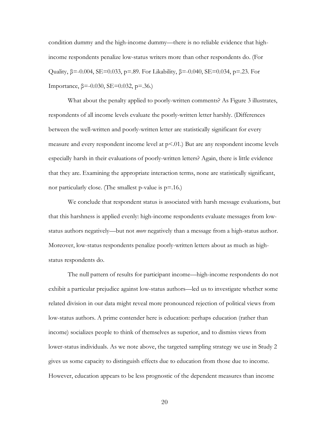condition dummy and the high-income dummy—there is no reliable evidence that highincome respondents penalize low-status writers more than other respondents do. (For Quality,  $β = -0.004$ ,  $SE = 0.033$ ,  $p = .89$ . For Likability,  $β = -0.040$ ,  $SE = 0.034$ ,  $p = .23$ . For Importance,  $β = -0.030$ ,  $SE = 0.032$ ,  $p = .36$ .)

What about the penalty applied to poorly-written comments? As Figure 3 illustrates, respondents of all income levels evaluate the poorly-written letter harshly. (Differences between the well-written and poorly-written letter are statistically significant for every measure and every respondent income level at  $p<0.01$ .) But are any respondent income levels especially harsh in their evaluations of poorly-written letters? Again, there is little evidence that they are. Examining the appropriate interaction terms, none are statistically significant, nor particularly close. (The smallest p-value is  $p=16$ .)

We conclude that respondent status is associated with harsh message evaluations, but that this harshness is applied evenly: high-income respondents evaluate messages from lowstatus authors negatively—but not *more* negatively than a message from a high-status author. Moreover, low-status respondents penalize poorly-written letters about as much as highstatus respondents do.

The null pattern of results for participant income—high-income respondents do not exhibit a particular prejudice against low-status authors—led us to investigate whether some related division in our data might reveal more pronounced rejection of political views from low-status authors. A prime contender here is education: perhaps education (rather than income) socializes people to think of themselves as superior, and to dismiss views from lower-status individuals. As we note above, the targeted sampling strategy we use in Study 2 gives us some capacity to distinguish effects due to education from those due to income. However, education appears to be less prognostic of the dependent measures than income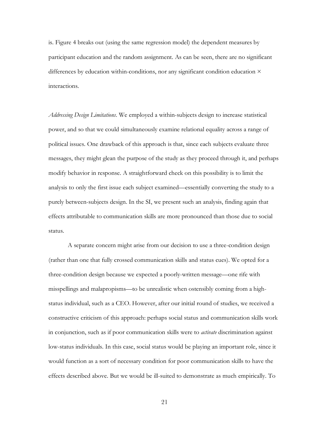is. Figure 4 breaks out (using the same regression model) the dependent measures by participant education and the random assignment. As can be seen, there are no significant differences by education within-conditions, nor any significant condition education  $\times$ interactions.

*Addressing Design Limitations*. We employed a within-subjects design to increase statistical power, and so that we could simultaneously examine relational equality across a range of political issues. One drawback of this approach is that, since each subjects evaluate three messages, they might glean the purpose of the study as they proceed through it, and perhaps modify behavior in response. A straightforward check on this possibility is to limit the analysis to only the first issue each subject examined—essentially converting the study to a purely between-subjects design. In the SI, we present such an analysis, finding again that effects attributable to communication skills are more pronounced than those due to social status.

A separate concern might arise from our decision to use a three-condition design (rather than one that fully crossed communication skills and status cues). We opted for a three-condition design because we expected a poorly-written message—one rife with misspellings and malapropisms—to be unrealistic when ostensibly coming from a highstatus individual, such as a CEO. However, after our initial round of studies, we received a constructive criticism of this approach: perhaps social status and communication skills work in conjunction, such as if poor communication skills were to *activate* discrimination against low-status individuals. In this case, social status would be playing an important role, since it would function as a sort of necessary condition for poor communication skills to have the effects described above. But we would be ill-suited to demonstrate as much empirically. To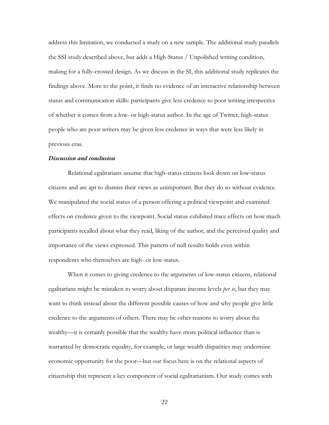address this limitation, we conducted a study on a new sample. The additional study parallels the SSI study described above, but adds a High-Status / Unpolished writing condition, making for a fully-crossed design. As we discuss in the SI, this additional study replicates the findings above. More to the point, it finds no evidence of an interactive relationship between status and communication skills: participants give less credence to poor writing irrespective of whether it comes from a low- or high-status author. In the age of Twitter, high-status people who are poor writers may be given less credence in ways that were less likely in previous eras.

#### *Discussion and conclusion*

Relational egalitarians assume that high-status citizens look down on low-status citizens and are apt to dismiss their views as unimportant. But they do so without evidence. We manipulated the social status of a person offering a political viewpoint and examined effects on credence given to the viewpoint. Social status exhibited trace effects on how much participants recalled about what they read, liking of the author, and the perceived quality and importance of the views expressed. This pattern of null results holds even within respondents who themselves are high- or low-status.

When it comes to giving credence to the arguments of low-status citizens, relational egalitarians might be mistaken to worry about disparate income levels *per se*, but they may want to think instead about the different possible causes of how and why people give little credence to the arguments of others. There may be other reasons to worry about the wealthy—it is certainly possible that the wealthy have more political influence than is warranted by democratic equality, for example, or large wealth disparities may undermine economic opportunity for the poor—but our focus here is on the relational aspects of citizenship that represent a key component of social egalitarianism. Our study comes with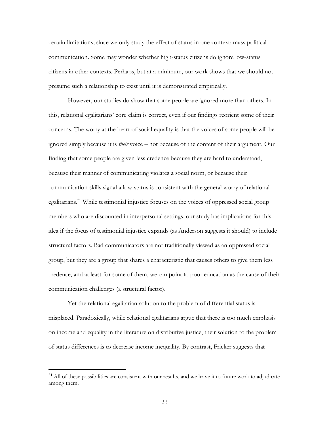certain limitations, since we only study the effect of status in one context: mass political communication. Some may wonder whether high-status citizens do ignore low-status citizens in other contexts. Perhaps, but at a minimum, our work shows that we should not presume such a relationship to exist until it is demonstrated empirically.

However, our studies do show that some people are ignored more than others. In this, relational egalitarians' core claim is correct, even if our findings reorient some of their concerns. The worry at the heart of social equality is that the voices of some people will be ignored simply because it is *their* voice – not because of the content of their argument. Our finding that some people are given less credence because they are hard to understand, because their manner of communicating violates a social norm, or because their communication skills signal a low-status is consistent with the general worry of relational egalitarians.<sup>21</sup> While testimonial injustice focuses on the voices of oppressed social group members who are discounted in interpersonal settings, our study has implications for this idea if the focus of testimonial injustice expands (as Anderson suggests it should) to include structural factors. Bad communicators are not traditionally viewed as an oppressed social group, but they are a group that shares a characteristic that causes others to give them less credence, and at least for some of them, we can point to poor education as the cause of their communication challenges (a structural factor).

Yet the relational egalitarian solution to the problem of differential status is misplaced. Paradoxically, while relational egalitarians argue that there is too much emphasis on income and equality in the literature on distributive justice, their solution to the problem of status differences is to decrease income inequality. By contrast, Fricker suggests that

<sup>&</sup>lt;sup>21</sup> All of these possibilities are consistent with our results, and we leave it to future work to adjudicate among them.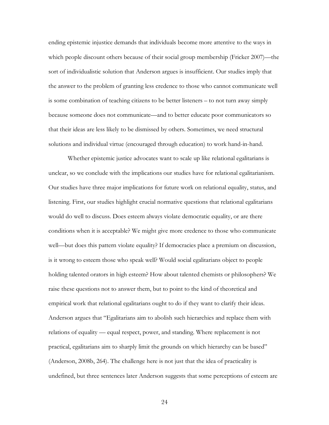ending epistemic injustice demands that individuals become more attentive to the ways in which people discount others because of their social group membership (Fricker 2007)—the sort of individualistic solution that Anderson argues is insufficient. Our studies imply that the answer to the problem of granting less credence to those who cannot communicate well is some combination of teaching citizens to be better listeners – to not turn away simply because someone does not communicate—and to better educate poor communicators so that their ideas are less likely to be dismissed by others. Sometimes, we need structural solutions and individual virtue (encouraged through education) to work hand-in-hand.

Whether epistemic justice advocates want to scale up like relational egalitarians is unclear, so we conclude with the implications our studies have for relational egalitarianism. Our studies have three major implications for future work on relational equality, status, and listening. First, our studies highlight crucial normative questions that relational egalitarians would do well to discuss. Does esteem always violate democratic equality, or are there conditions when it is acceptable? We might give more credence to those who communicate well—but does this pattern violate equality? If democracies place a premium on discussion, is it wrong to esteem those who speak well? Would social egalitarians object to people holding talented orators in high esteem? How about talented chemists or philosophers? We raise these questions not to answer them, but to point to the kind of theoretical and empirical work that relational egalitarians ought to do if they want to clarify their ideas. Anderson argues that "Egalitarians aim to abolish such hierarchies and replace them with relations of equality — equal respect, power, and standing. Where replacement is not practical, egalitarians aim to sharply limit the grounds on which hierarchy can be based" (Anderson, 2008b, 264). The challenge here is not just that the idea of practicality is undefined, but three sentences later Anderson suggests that some perceptions of esteem are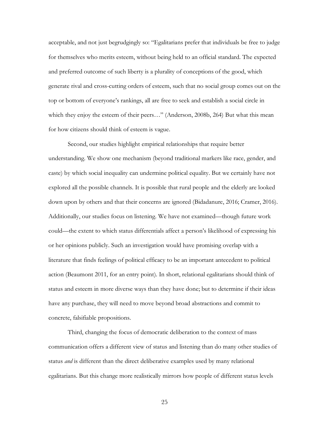acceptable, and not just begrudgingly so: "Egalitarians prefer that individuals be free to judge for themselves who merits esteem, without being held to an official standard. The expected and preferred outcome of such liberty is a plurality of conceptions of the good, which generate rival and cross-cutting orders of esteem, such that no social group comes out on the top or bottom of everyone's rankings, all are free to seek and establish a social circle in which they enjoy the esteem of their peers..." (Anderson, 2008b, 264) But what this mean for how citizens should think of esteem is vague.

Second, our studies highlight empirical relationships that require better understanding. We show one mechanism (beyond traditional markers like race, gender, and caste) by which social inequality can undermine political equality. But we certainly have not explored all the possible channels. It is possible that rural people and the elderly are looked down upon by others and that their concerns are ignored (Bidadanure, 2016; Cramer, 2016). Additionally, our studies focus on listening. We have not examined—though future work could—the extent to which status differentials affect a person's likelihood of expressing his or her opinions publicly. Such an investigation would have promising overlap with a literature that finds feelings of political efficacy to be an important antecedent to political action (Beaumont 2011, for an entry point). In short, relational egalitarians should think of status and esteem in more diverse ways than they have done; but to determine if their ideas have any purchase, they will need to move beyond broad abstractions and commit to concrete, falsifiable propositions.

Third, changing the focus of democratic deliberation to the context of mass communication offers a different view of status and listening than do many other studies of status *and* is different than the direct deliberative examples used by many relational egalitarians. But this change more realistically mirrors how people of different status levels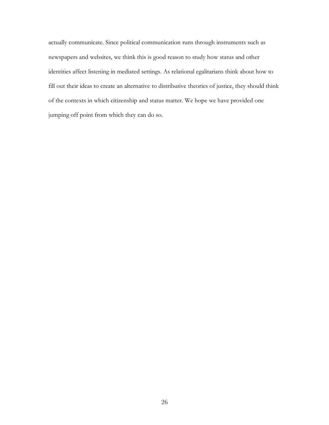actually communicate. Since political communication runs through instruments such as newspapers and websites, we think this is good reason to study how status and other identities affect listening in mediated settings. As relational egalitarians think about how to fill out their ideas to create an alternative to distributive theories of justice, they should think of the contexts in which citizenship and status matter. We hope we have provided one jumping off point from which they can do so.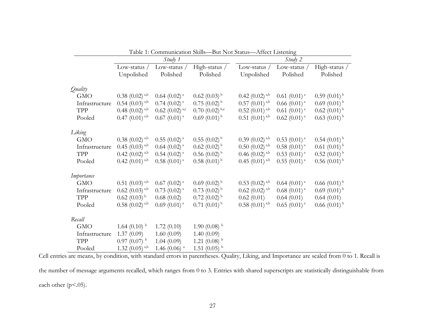|                | Study 1                      |                              |                                | Study 2                      |                            |                            |
|----------------|------------------------------|------------------------------|--------------------------------|------------------------------|----------------------------|----------------------------|
|                | Low-status /                 | Low-status $/$               | High-status /                  | Low-status /                 | Low-status $/$             | High-status /              |
|                | Unpolished                   | Polished                     | Polished                       | Unpolished                   | Polished                   | Polished                   |
| Quality        |                              |                              |                                |                              |                            |                            |
| <b>GMO</b>     | $0.38$ (0.02) <sup>a,b</sup> | $0.64$ (0.02) <sup>a</sup>   | $0.62$ (0.03) <sup>b</sup>     | $0.42$ (0.02) <sup>a,b</sup> | $0.61$ $(0.01)^{a}$        | $0.59(0.01)^{b}$           |
| Infrastructure | $0.54$ (0.03) <sup>a,b</sup> | $0.74$ (0.02) <sup>a</sup>   | $0.75(0.02)^{b}$               | $0.57(0.01)^{a,b}$           | $0.66(0.01)^{a}$           | $0.69(0.01)^{b}$           |
| <b>TPP</b>     | $0.48$ (0.02) <sup>a,b</sup> | $0.62$ (0.02) <sup>a,c</sup> | $0.70$ $(0.02)$ <sup>b,c</sup> | $0.52$ (0.01) <sup>a,b</sup> | $0.61$ $(0.01)^{a}$        | $0.62$ (0.01) <sup>b</sup> |
| Pooled         | $0.47(0.01)^{a,b}$           | $0.67(0.01)^{a}$             | $0.69(0.01)^{b}$               | $0.51$ $(0.01)^{a,b}$        | $0.62$ (0.01) <sup>a</sup> | $0.63(0.01)^{b}$           |
| Liking         |                              |                              |                                |                              |                            |                            |
| <b>GMO</b>     | $0.38$ (0.02) <sup>a,b</sup> | $0.55$ $(0.02)^{a}$          | $0.55(0.02)^{b}$               | $0.39(0.02)$ <sup>a,b</sup>  | $0.53$ $(0.01)^{a}$        | $0.54(0.01)^{b}$           |
| Infrastructure | $0.45$ (0.03) <sup>a,b</sup> | $0.64$ (0.02) <sup>a</sup>   | $0.62$ (0.02) <sup>b</sup>     | $0.50$ $(0.02)^{a,b}$        | $0.58(0.01)^{a}$           | $0.61~(0.01)^{b}$          |
| TPP            | $0.42$ (0.02) <sup>a,b</sup> | $0.54$ (0.02) <sup>a</sup>   | $0.56$ (0.02) <sup>b</sup>     | $0.46$ (0.02) <sup>a,b</sup> | $0.53$ $(0.01)^{a}$        | $0.52(0.01)^{b}$           |
| Pooled         | $0.42$ (0.01) <sup>a,b</sup> | $0.58(0.01)^{a}$             | $0.58(0.01)^{b}$               | $0.45(0.01)^{a,b}$           | $0.55(0.01)^{a}$           | $0.56(0.01)^{b}$           |
| Importance     |                              |                              |                                |                              |                            |                            |
| <b>GMO</b>     | $0.51$ (0.03) <sup>a,b</sup> | $0.67$ (0.02) <sup>a</sup>   | $0.69(0.02)^{b}$               | $0.53$ (0.02) <sup>a,b</sup> | $0.64$ (0.01) <sup>a</sup> | $0.66(0.01)^{b}$           |
| Infrastructure | $0.62$ (0.03) <sup>a,b</sup> | $0.73$ (0.02) <sup>a</sup>   | $0.73(0.02)^{b}$               | $0.62$ (0.02) <sup>a,b</sup> | $0.68(0.01)^{a}$           | $0.69(0.01)^{b}$           |
| TPP            | $0.62$ $(0.03)$ <sup>b</sup> | 0.68(0.02)                   | $0.72$ (0.02) <sup>b</sup>     | 0.62(0.01)                   | 0.64(0.01)                 | 0.64(0.01)                 |
| Pooled         | $0.58$ (0.02) <sup>a,b</sup> | $0.69(0.01)^{a}$             | $0.71(0.01)^{b}$               | $0.58(0.01)^{a,b}$           | $0.65$ $(0.01)^{a}$        | $0.66(0.01)^{b}$           |
| Recall         |                              |                              |                                |                              |                            |                            |
| <b>GMO</b>     | 1.64 $(0.10)^{b}$            | 1.72(0.10)                   | 1.90 $(0.08)^{b}$              |                              |                            |                            |
| Infrastructure | 1.37(0.09)                   | 1.60(0.09)                   | 1.40(0.09)                     |                              |                            |                            |
| <b>TPP</b>     | $0.97(0.07)^{b}$             | 1.04(0.09)                   | 1.21 $(0.08)$ <sup>b</sup>     |                              |                            |                            |
| Pooled         | 1.32 $(0.05)^{a,b}$          | 1.46 $(0.06)$ <sup>a</sup>   | 1.51 $(0.05)^{b}$              |                              |                            |                            |

Table 1: Communication Skills—But Not Status—Affect Listening

Cell entries are means, by condition, with standard errors in parentheses. Quality, Liking, and Importance are scaled from 0 to 1. Recall is

the number of message arguments recalled, which ranges from 0 to 3. Entries with shared superscripts are statistically distinguishable from each other (p<.05).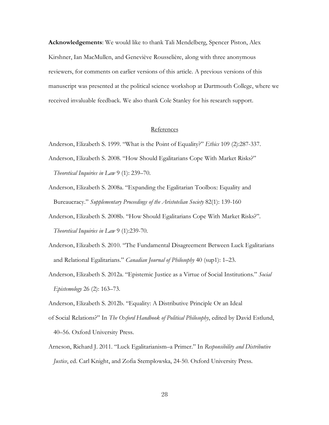**Acknowledgements**: We would like to thank Tali Mendelberg, Spencer Piston, Alex Kirshner, Ian MacMullen, and Geneviève Rousselière, along with three anonymous reviewers, for comments on earlier versions of this article. A previous versions of this manuscript was presented at the political science workshop at Dartmouth College, where we received invaluable feedback. We also thank Cole Stanley for his research support.

## References

Anderson, Elizabeth S. 1999. "What is the Point of Equality?" *Ethics* 109 (2):287-337.

- Anderson, Elizabeth S. 2008. "How Should Egalitarians Cope With Market Risks?" *Theoretical Inquiries in Law* 9 (1): 239–70.
- Anderson, Elizabeth S. 2008a. "Expanding the Egalitarian Toolbox: Equality and Bureaucracy." *Supplementary Proceedings of the Aristotelian Society* 82(1): 139-160
- Anderson, Elizabeth S. 2008b. "How Should Egalitarians Cope With Market Risks?". *Theoretical Inquiries in Law* 9 (1):239-70.
- Anderson, Elizabeth S. 2010. "The Fundamental Disagreement Between Luck Egalitarians and Relational Egalitarians." *Canadian Journal of Philosophy* 40 (sup1): 1–23.
- Anderson, Elizabeth S. 2012a. "Epistemic Justice as a Virtue of Social Institutions." *Social Epistemology* 26 (2): 163–73.
- Anderson, Elizabeth S. 2012b. "Equality: A Distributive Principle Or an Ideal
- of Social Relations?" In *The Oxford Handbook of Political Philosophy*, edited by David Estlund, 40–56. Oxford University Press.
- Arneson, Richard J. 2011. "Luck Egalitarianism–a Primer." In *Responsibility and Distributive Justice*, ed. Carl Knight, and Zofia Stemplowska, 24-50. Oxford University Press.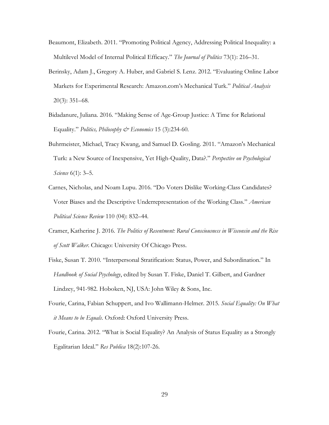- Beaumont, Elizabeth. 2011. "Promoting Political Agency, Addressing Political Inequality: a Multilevel Model of Internal Political Efficacy." *The Journal of Politics* 73(1): 216–31.
- Berinsky, Adam J., Gregory A. Huber, and Gabriel S. Lenz. 2012. "Evaluating Online Labor Markets for Experimental Research: Amazon.com's Mechanical Turk." *Political Analysis* 20(3): 351–68.
- Bidadanure, Juliana. 2016. "Making Sense of Age-Group Justice: A Time for Relational Equality." *Politics, Philosophy & Economics* 15 (3):234-60.
- Buhrmeister, Michael, Tracy Kwang, and Samuel D. Gosling. 2011. "Amazon's Mechanical Turk: a New Source of Inexpensive, Yet High-Quality, Data?." *Perspective on Psychological Science* 6(1): 3–5.
- Carnes, Nicholas, and Noam Lupu. 2016. "Do Voters Dislike Working-Class Candidates? Voter Biases and the Descriptive Underrepresentation of the Working Class." *American Political Science Review* 110 (04): 832–44.
- Cramer, Katherine J. 2016. *The Politics of Resentment: Rural Consciousness in Wisconsin and the Rise of Scott Walker*. Chicago: University Of Chicago Press.
- Fiske, Susan T. 2010. "Interpersonal Stratification: Status, Power, and Subordination." In *Handbook of Social Psychology*, edited by Susan T. Fiske, Daniel T. Gilbert, and Gardner Lindzey, 941-982. Hoboken, NJ, USA: John Wiley & Sons, Inc.
- Fourie, Carina, Fabian Schuppert, and Ivo Wallimann-Helmer. 2015. *Social Equality: On What it Means to be Equals*. Oxford: Oxford University Press.
- Fourie, Carina. 2012. "What is Social Equality? An Analysis of Status Equality as a Strongly Egalitarian Ideal." *Res Publica* 18(2):107-26.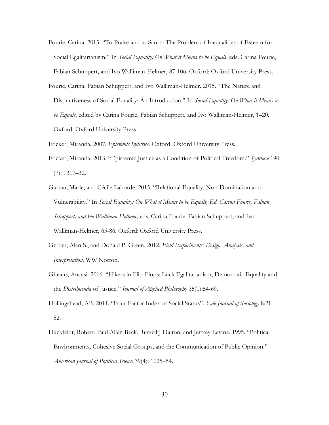- Fourie, Carina. 2015. "To Praise and to Scorn: The Problem of Inequalities of Esteem for Social Egalitarianism." In *Social Equality: On What it Means to be Equals*, eds. Carina Fourie, Fabian Schuppert, and Ivo Walliman-Helmer, 87-106. Oxford: Oxford University Press.
- Fourie, Carina, Fabian Schuppert, and Ivo Walliman-Helmer. 2015. "The Nature and Distinctiveness of Social Equality: An Introduction." In *Social Equality: On What it Means to be Equals*, edited by Carina Fourie, Fabian Schuppert, and Ivo Walliman-Helmer, 1–20. Oxford: Oxford University Press.
- Fricker, Miranda. 2007. *Epistemic Injustice*. Oxford: Oxford University Press.
- Fricker, Miranda. 2013. "Epistemic Justice as a Condition of Political Freedom." *Synthese* 190 (7): 1317–32.
- Garrau, Marie, and Cécile Laborde. 2015. "Relational Equality, Non-Domination and Vulnerability." In *Social Equality: On What it Means to be Equals, Ed. Carina Fourie, Fabian Schuppert, and Ivo Walliman-Hellmer*, eds. Carina Fourie, Fabian Schuppert, and Ivo Walliman-Helmer, 65-86. Oxford: Oxford University Press.
- Gerber, Alan S., and Donald P. Green. 2012. *Field Experiments: Design, Analysis, and Interpretation*. WW Norton.
- Gheaus, Ancasi. 2016. "Hikers in Flip-Flops: Luck Egalitarianism, Democratic Equality and the *Distribuenda* of Justice." *Journal of Applied Philosophy* 35(1):54-69.
- Hollingshead, AB. 2011. "Four Factor Index of Social Status". *Yale Journal of Sociology* 8:21- 52.
- Huckfeldt, Robert, Paul Allen Beck, Russell J Dalton, and Jeffrey Levine. 1995. "Political Environments, Cohesive Social Groups, and the Communication of Public Opinion." *American Journal of Political Science* 39(4): 1025–54.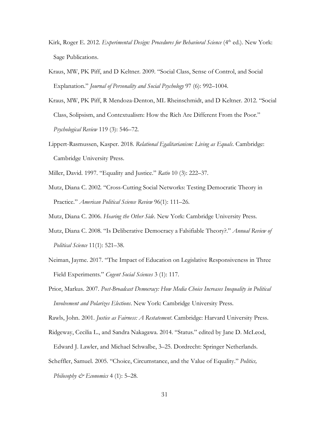- Kirk, Roger E. 2012. *Experimental Design: Procedures for Behavioral Science* (4<sup>th</sup> ed.). New York: Sage Publications.
- Kraus, MW, PK Piff, and D Keltner. 2009. "Social Class, Sense of Control, and Social Explanation." *Journal of Personality and Social Psychology* 97 (6): 992–1004.
- Kraus, MW, PK Piff, R Mendoza-Denton, ML Rheinschmidt, and D Keltner. 2012. "Social Class, Solipsism, and Contextualism: How the Rich Are Different From the Poor." *Psychological Review* 119 (3): 546–72.
- Lippert-Rasmussen, Kasper. 2018. *Relational Egalitarianism: Living as Equals*. Cambridge: Cambridge University Press.
- Miller, David. 1997. "Equality and Justice." *Ratio* 10 (3): 222–37.
- Mutz, Diana C. 2002. "Cross-Cutting Social Networks: Testing Democratic Theory in Practice." *American Political Science Review* 96(1): 111–26.
- Mutz, Diana C. 2006. *Hearing the Other Side*. New York: Cambridge University Press.
- Mutz, Diana C. 2008. "Is Deliberative Democracy a Falsifiable Theory?." *Annual Review of Political Science* 11(1): 521–38.
- Neiman, Jayme. 2017. "The Impact of Education on Legislative Responsiveness in Three Field Experiments." *Cogent Social Sciences* 3 (1): 117.
- Prior, Markus. 2007. *Post-Broadcast Democracy: How Media Choice Increases Inequality in Political Involvement and Polarizes Elections*. New York: Cambridge University Press.
- Rawls, John. 2001. *Justice as Fairness: A Restatement*. Cambridge: Harvard University Press.
- Ridgeway, Cecilia L., and Sandra Nakagawa. 2014. "Status." edited by Jane D. McLeod,
- Edward J. Lawler, and Michael Schwalbe, 3–25. Dordrecht: Springer Netherlands.
- Scheffler, Samuel. 2005. "Choice, Circumstance, and the Value of Equality." *Politics,*

*Philosophy & Economics* 4 (1): 5–28.